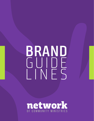# **BRAND** GUIDE LINES

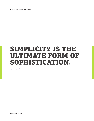**NETWORK OF COMMUNITY MINISTRIES**

## SIMPLICITY IS THE ULTIMATE FORM OF SOPHISTICATION.

**Leonardo da Vinci**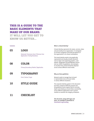## THIS IS A GUIDE TO THE BASIC ELEMENTS THAT MAKE UP OUR BRAND.

IT WILL LET YOU GET TO KNOW US BETTER...

#### **Contents**

**03 LOGO**

> Rationale | Exclusion Zone | Minimum Size Application | Family/Variations

#### **08 COLOR**

Primary/Secondary Palette | Application

#### **09 TYPOGRAPHY**

Print | Online | Style

#### **10 STYLE GUIDE**

#### **11 CHECKLIST**

#### **What is a Brand Identity?**

A brand identity represents the values, services, ideas and personality of an organization. It is designed to increase recognition and build perceptions of the organization in its chosen marketplace.

This brand identity needs to be graphically represented and usually includes elements such as logos and supporting graphics, color palette, typography and photography choices and can, within its guidelines, use examples to visualize how a brand should be depicted across various different visual media.

#### **Why use these guidelines**

Network needs to manage how its brand is represented across all visual media in various different situations.

The corporate identity system in this document has been created to fulfil this purpose and the guidelines herein explain how to correctly depict and embody our brand ethos consistently across different applications and in various markets to maintain the integrity of Network.

**This document, along with logos and fonts, are available to download at: thenetwork.org/branding**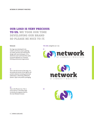## OUR LOGO IS VERY PRECIOUS TO US. WE TOOK OUR TIME DEVELOPING OUR BRAND SO PLEASE BE NICE TO IT.

#### **Rationale**

Our logo was developed to be modern and future-proof, updating our public persona and realizing the design with new techniques. It is a distinctive mark and brand that seeks to present Network as a forwardthinking professional organization.

#### **01**

This is the full version of the logo. It is the preferred version of the logo for all printed collateral including all printed publications, advertising, billboards, posters, flyers and product packaging.

#### **02**

This is the Mission Icon. This is to be used as a secondary logo to directly tie programs back to the main Network mission.

**02**

**THE LOGO,** delightful am I not.





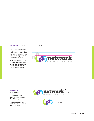**EXCLUSION ZONE,** a little elbow room to help us stand out.

The minimum exclusion zone margin for all our company logos is based on the "n" height. With all logos, a minimum clear space of 1 "n" height must be maintained on all sides.

On all sides, the exclusion zone should be measured from the farthest edge of the logo. No element, other than our tagline, may encroach on this space.



**MINIMUM SIZE,** bigger is better.

Full logo must not be reproduced at a size smaller than 1/2" in height.

Mission Icon must not be reproduced at a size smaller than 1/2" in height.



1/2" min.



BRAND GUIDELINES | **5**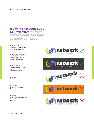## WE WANT TO LOOK GOOD ALL THE TIME, SO TAKE TIME TO CONSIDER HOW TO APPLY OUR LOGO.

**We don't want to come across all doom and gloom,** but there is a right way and a wrong way to present our logo.

**01 Space around the logo** Always leave the logo some space to breathe. Try to use white or neutral backgrounds.

**02 If you have to...** If it's unavoidable to sit the logo on a color or a photo, use the negative logo.

**03 Not right** Do not rotate the logo.

**04 Color clash** Do not place the logo on the wrong colors.

**05 No thanks** Do not add embellishments like drop-shadows, embossings etc. to the logo.









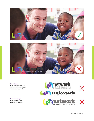



**06 Don't skew** Do not stretch or skew the logo to fit the design. Always maintain the same scale.

**07 No color change** Do not stray from the Network color pallete.



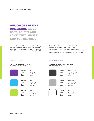## OUR COLORS DEFINE OUR BRAND. WE'RE BOLD, BRIGHT AND CONFIDENT. SIMPLE AND TO THE POINT.

The corporate color palette includes a bright purple, bright blue and complementary green theme with supporting tones. Color matching standard Pantone® references are included to ensure accuracy when reproducing the palette. Also included are the references for CMYK, RGB and HEX Values for consistency across different media. Where possible, the logo should be reproduced in the CMYK color process. Equivalent colors can be composed using the RGB and HEX references included when the logo is to used digitally.

#### **Color Palette** // **Primary**

These are our corporate primary colors for our logo, text and headers.



These are secondary colors for backgrounds and supporting graphics.

**Color Palette** // **Secondary**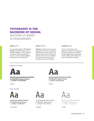## TYPOGRAPHY IS THE BACKBONE OF DESIGN,

GETTING IT RIGHT IS PARAMOUNT.

#### **Typefaces. Print.**

Our corporate typeface is **PF Centro & Bunuelo**. These font families come in a range of weights to suit a multitude of purposes. They were optimized for print, and has excellent legibility characteristics in its letterforms.

#### **Typefaces. Online.**

**Helvetica** should be used in any web applications. This font is available on both Windows and Mac devices, and translates well across all mobile and desktop viewers. This is the fallback font and is to be used only when sending documents to 3rd parties.

#### **Typography. Style.**

Text for correspondence and publications should preferably be set in upper and lower-case, and flush left with ragged right. Capitalization should never be used for body text, but is acceptable for headings.

#### **Headlines // PF Centro**



ABCDEFGHIJKLMNOPQRSTUVWXYZ abcdefghijklmnopqrstuvwxyz (.,:;?!£\$&@\*) 0123456789

// Black

#### **Body // Bunuelo**



**ABCDEFGHIJKLMNOPQRSTUVWXYZ abcdefghijklmnopqrstuvwxyz (.,:;?!£\$&@\*) 0123456789**

// Semi Bold // Regular // Regular // Light



**ABCDEFGHIJKLMNOPQRSTUVWXYZ abcdefghijklmnopqrstuvwxyz (.,:;?!£\$&@\*) 0123456789**

// Bold



ABCDEFGHIJKLMNOPQRSTUVWXYZ abcdefghijklmnopqrstuvwxyz (.,:;?!£\$&@\*) 0123456789



ABCDEFGHIJKLMNOPQRSTUVWXYZ abcdefghijklmnopqrstuvwxyz (.,:;?!£\$&@\*) 0123456789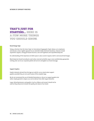## THAT'S JUST FOR STARTERS... HERE IS A FEW MORE THINGS YOU SHOULD KNOW.

#### **Brand Design Style**

Taking a direction from the Swiss Style (or International Typographic Style) allows us to emphasise and execute a clean, legible approach to our extended media and brand situations. Features include asymmetric layouts, strong grid-based structure, sans serif typefaces and unjustified body text.

An understanding of the importance of white space is also crucial in layouts, both in and around text/images.

Black body text should normally be used unless reversed out/white copy is more aesthetically appropriate. Limiting color use to our corporate palette will serve to strengthen our brand message.

#### **Support Graphics**

Graphic elements derived from the logo are valid for use as stand-alone support graphics provided they are not used in place of the complete logo.

We do not recommend the use of detailed illustrations or clip art as support graphics but rather simple geometric shapes so as not to detract from other layout elements.

Large, distracting banners and graphics (such as ribbons and arrows) should not be used as they only serve to lessen the quality and values of our brand.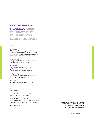## BEST TO HAVE A CHECKLIST. THEN YOU KNOW THAT YOU HAVE DONE EVERYTHING RIGHT.

#### **The Checklist...**

#### **01 The Logo**

Only use logos that are complete and in an appropriate version, created from original digital artwork. Please check that you have respected the minimum size and exclusion zone requirements.

#### **02 Backgrounds**

The logo should not appear on light or cluttered images without being reversed out.

#### **03 Graphics**

Check that any supporting graphics or graphic elements do not marginalize, obscure or overpower the Network logo.

#### **04 Typography**

Check that our corporate typefaces have been used appropriately where applicable.

#### **05 Design**

Be sure to provide these guidelines to third parties or collaborating partners.

#### **A final thought.**

If in doubt, take a look back through this document, all the answers are there.

We don't ask for much, just a little love and respect for our branding which is why we think we've created a flexible system that won't stifle your creativity.

Give it your best shot...

**THIS DOCUMENT MAY BE MADE AVAILABLE IN ALTERNATIVE FORMATS ON REQUEST. PLEASE CONTACT OUR MARKETING & PR DEPARTMENT FOR FURTHER DETAILS.**